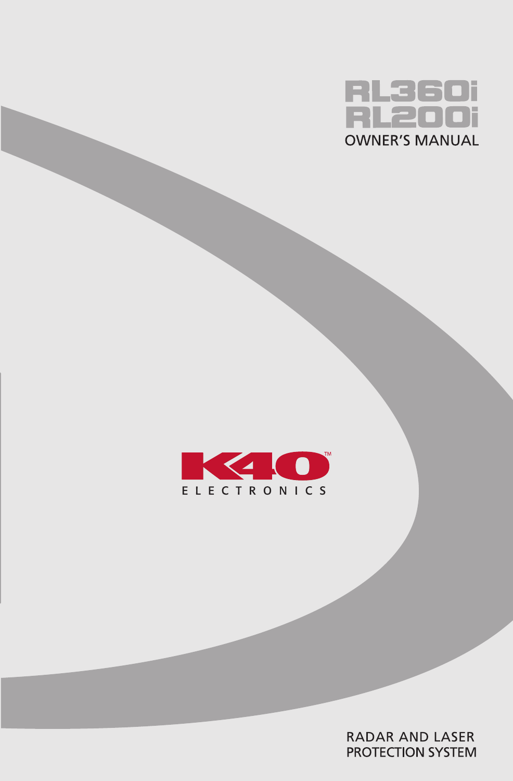



**RADAR AND LASER** PROTECTION SYSTEM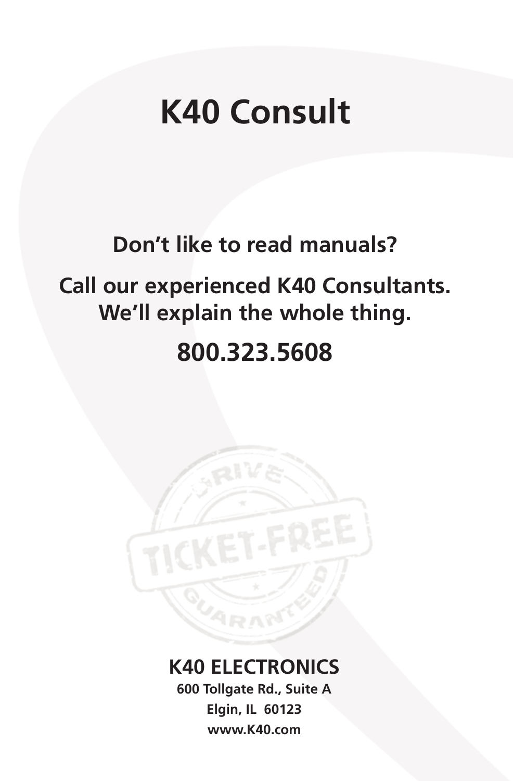# **K40 Consult**

## **Don't like to read manuals?**

# **Call our experienced K40 Consultants. We'll explain the whole thing.**

# **800.323.5608**

## **K40 ELECTRONICS**

**600 Tollgate Rd., Suite A Elgin, IL 60123 www.K40.com**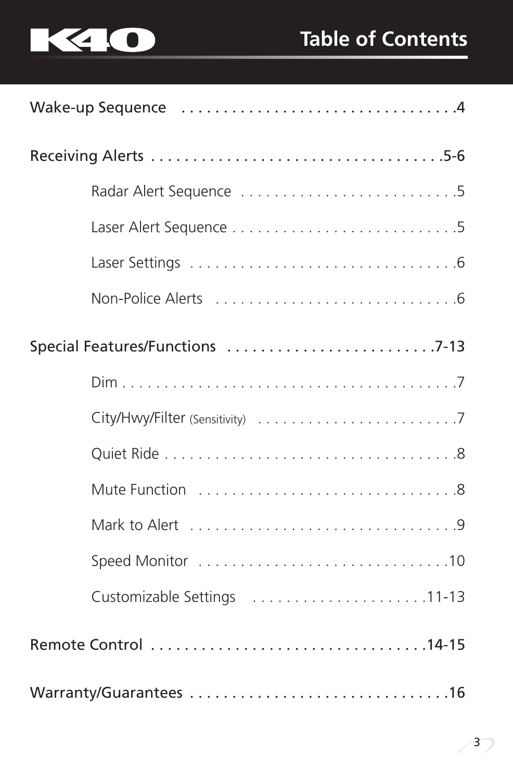



| Special Features/Functions 7-13 |  |  |  |
|---------------------------------|--|--|--|
|                                 |  |  |  |
|                                 |  |  |  |
|                                 |  |  |  |
|                                 |  |  |  |
|                                 |  |  |  |
|                                 |  |  |  |
|                                 |  |  |  |
|                                 |  |  |  |
|                                 |  |  |  |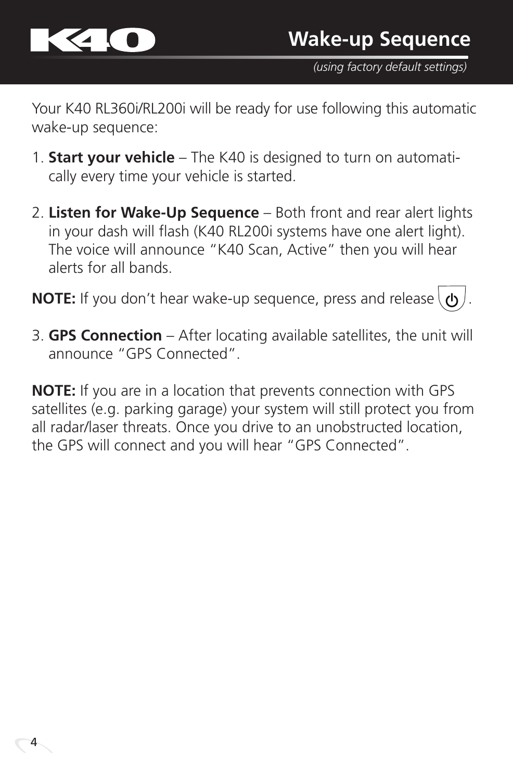

*(using factory default settings)*

Your K40 RL360i/RL200i will be ready for use following this automatic wake-up sequence:

- 1. **Start your vehicle** The K40 is designed to turn on automatically every time your vehicle is started.
- 2. **Listen for Wake-Up Sequence** Both front and rear alert lights in your dash will flash (K40 RL200i systems have one alert light). The voice will announce "K40 Scan, Active" then you will hear alerts for all bands.

**NOTE:** If you don't hear wake-up sequence, press and release  $\left\{\phi\right\}$ .

3. **GPS Connection** – After locating available satellites, the unit will announce "GPS Connected".

**NOTE:** If you are in a location that prevents connection with GPS satellites (e.g. parking garage) your system will still protect you from all radar/laser threats. Once you drive to an unobstructed location, the GPS will connect and you will hear "GPS Connected".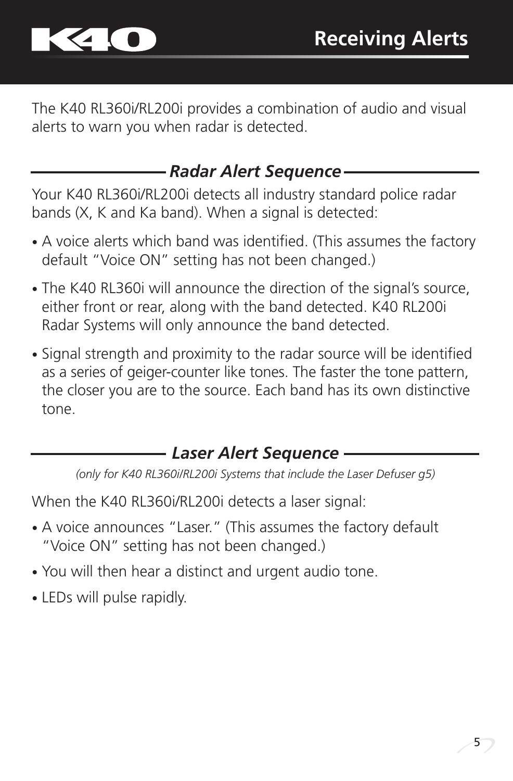

The K40 RL360i/RL200i provides a combination of audio and visual alerts to warn you when radar is detected.

#### *Radar Alert Sequence*

Your K40 RL360i/RL200i detects all industry standard police radar bands (X, K and Ka band). When a signal is detected:

- A voice alerts which band was identified. (This assumes the factory default "Voice ON" setting has not been changed.)
- The K40 RL360i will announce the direction of the signal's source, either front or rear, along with the band detected. K40 RL200i Radar Systems will only announce the band detected.
- Signal strength and proximity to the radar source will be identified as a series of geiger-counter like tones. The faster the tone pattern, the closer you are to the source. Each band has its own distinctive tone.

## *Laser Alert Sequence*

*(only for K40 RL360i/RL200i Systems that include the Laser Defuser g5)*

When the K40 RL360i/RL200i detects a laser signal:

- A voice announces "Laser." (This assumes the factory default "Voice ON" setting has not been changed.)
- You will then hear a distinct and urgent audio tone.
- LEDs will pulse rapidly.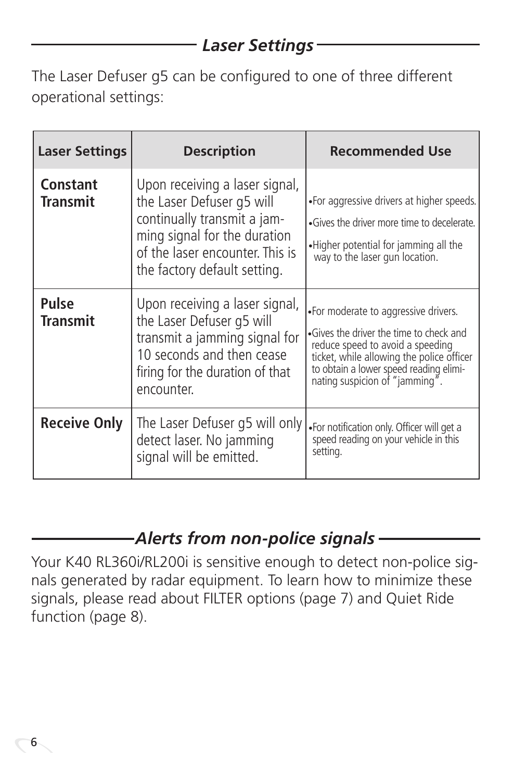## *Laser Settings*

The Laser Defuser g5 can be configured to one of three different operational settings:

| <b>Laser Settings</b>       | <b>Description</b>                                                                                                                                                                            | <b>Recommended Use</b>                                                                                                                                                                                                                       |
|-----------------------------|-----------------------------------------------------------------------------------------------------------------------------------------------------------------------------------------------|----------------------------------------------------------------------------------------------------------------------------------------------------------------------------------------------------------------------------------------------|
| Constant<br><b>Transmit</b> | Upon receiving a laser signal,<br>the Laser Defuser g5 will<br>continually transmit a jam-<br>ming signal for the duration<br>of the laser encounter. This is<br>the factory default setting. | •For aggressive drivers at higher speeds.<br>•Gives the driver more time to decelerate.<br>.Higher potential for jamming all the<br>way to the laser gun location.                                                                           |
| Pulse<br><b>Transmit</b>    | Upon receiving a laser signal,<br>the Laser Defuser g5 will<br>transmit a jamming signal for<br>10 seconds and then cease<br>firing for the duration of that<br>encounter.                    | •For moderate to aggressive drivers.<br>•Gives the driver the time to check and<br>reduce speed to avoid a speeding<br>ticket, while allowing the police officer<br>to obtain a lower speed reading elimi-<br>nating suspicion of "jamming". |
| <b>Receive Only</b>         | The Laser Defuser q5 will only<br>detect laser. No jamming<br>signal will be emitted.                                                                                                         | . For notification only. Officer will get a<br>speed reading on your vehicle in this<br>setting.                                                                                                                                             |

## *Alerts from non-police signals*

Your K40 RL360i/RL200i is sensitive enough to detect non-police signals generated by radar equipment. To learn how to minimize these signals, please read about FILTER options (page 7) and Quiet Ride function (page 8).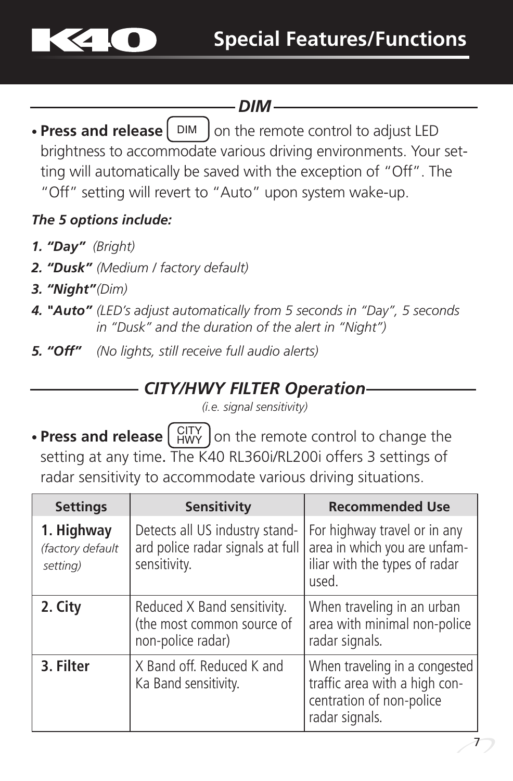

## *DIM*

• Press and release | DIM | on the remote control to adjust LED brightness to accommodate various driving environments. Your setting will automatically be saved with the exception of "Off". The "Off" setting will revert to "Auto" upon system wake-up.

#### *The 5 options include:*

- *1. "Day" (Bright)*
- *2. "Dusk" (Medium / factory default)*
- *3. "Night"(Dim)*
- *4. "Auto" (LED's adjust automatically from 5 seconds in "Day", 5 seconds in "Dusk" and the duration of the alert in "Night")*
- *5. "Off" (No lights, still receive full audio alerts)*

#### *CITY/HWY FILTER Operation*

*(i.e. signal sensitivity)*

• Press and release  $\begin{pmatrix} \text{CITY} \\ \text{HWY} \end{pmatrix}$  on the remote control to change the setting at any time. The  $\overline{K}40$  RL360i/RL200i offers 3 settings of radar sensitivity to accommodate various driving situations.

| <b>Settings</b>                            | <b>Sensitivity</b>                                                                 | <b>Recommended Use</b>                                                                                       |  |
|--------------------------------------------|------------------------------------------------------------------------------------|--------------------------------------------------------------------------------------------------------------|--|
| 1. Highway<br>(factory default<br>setting) | Detects all US industry stand-<br>ard police radar signals at full<br>sensitivity. | For highway travel or in any<br>area in which you are unfam-<br>iliar with the types of radar<br>used.       |  |
| 2. City                                    | Reduced X Band sensitivity.<br>(the most common source of<br>non-police radar)     | When traveling in an urban<br>area with minimal non-police<br>radar signals.                                 |  |
| 3. Filter                                  | X Band off. Reduced K and<br>Ka Band sensitivity.                                  | When traveling in a congested<br>traffic area with a high con-<br>centration of non-police<br>radar signals. |  |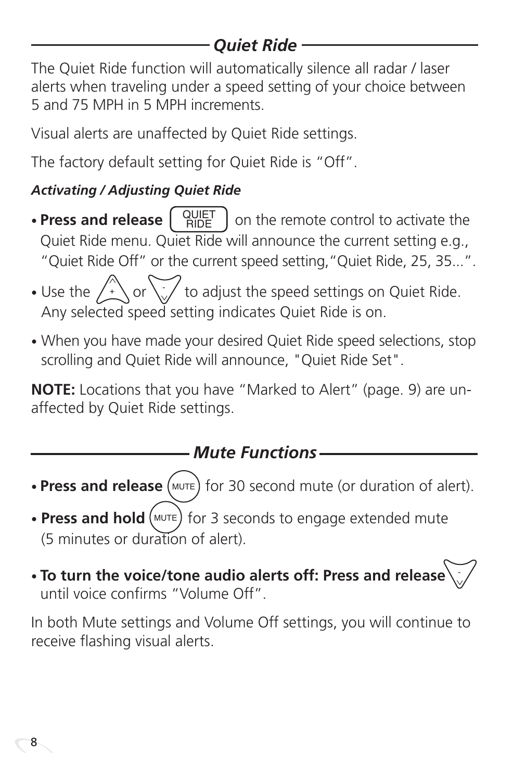## *Quiet Ride*

The Quiet Ride function will automatically silence all radar / laser alerts when traveling under a speed setting of your choice between 5 and 75 MPH in 5 MPH increments.

Visual alerts are unaffected by Quiet Ride settings.

The factory default setting for Quiet Ride is "Off".

## *Activating / Adjusting Quiet Ride*

- **Press and release**  $\begin{bmatrix} \text{QUET} \\ \text{RIDE} \end{bmatrix}$  on the remote control to activate the Quiet Ride menu. Quiet Ride will announce the current setting e.g., "Quiet Ride Off" or the current speed setting,"Quiet Ride, 25, 35...". QUIET RIDE
- Use the  $\bigwedge^{\mathcal{A}}$  or  $\bigvee^{\mathcal{A}}$  to adjust the speed settings on Quiet Ride. Any selected speed setting indicates Quiet Ride is on.  $\circ$  or
- When you have made your desired Quiet Ride speed selections, stop scrolling and Quiet Ride will announce, "Quiet Ride Set".

**NOTE:** Locations that you have "Marked to Alert" (page. 9) are unaffected by Quiet Ride settings.

## *Mute Functions*

- Press and release (MUTE) for 30 second mute (or duration of alert).
- Press and hold (MUTE) for 3 seconds to engage extended mute (5 minutes or duration of alert).
- **To turn the voice/tone audio alerts off: Press and release**  until voice confirms "Volume Off". -

In both Mute settings and Volume Off settings, you will continue to receive flashing visual alerts.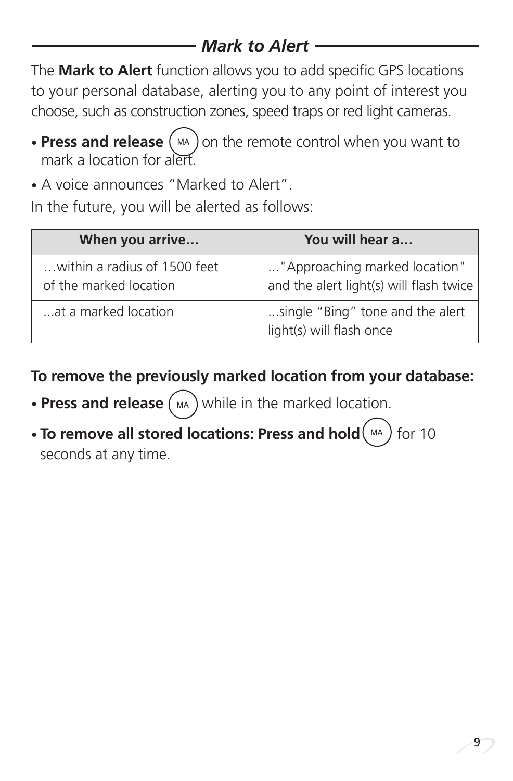## *Mark to Alert*

The **Mark to Alert** function allows you to add specific GPS locations to your personal database, alerting you to any point of interest you choose, such as construction zones, speed traps or red light cameras.

- Press and release (MA) on the remote control when you want to mark a location for alert.
- A voice announces "Marked to Alert".

In the future, you will be alerted as follows:

| When you arrive                                        | You will hear a                                                          |
|--------------------------------------------------------|--------------------------------------------------------------------------|
| within a radius of 1500 feet<br>of the marked location | "Approaching marked location"<br>and the alert light(s) will flash twice |
| at a marked location                                   | single "Bing" tone and the alert<br>light(s) will flash once             |

**To remove the previously marked location from your database:**

- Press and release (MA) while in the marked location.
- **To remove all stored locations: Press and hold**  $(MA)$  for 10 seconds at any time.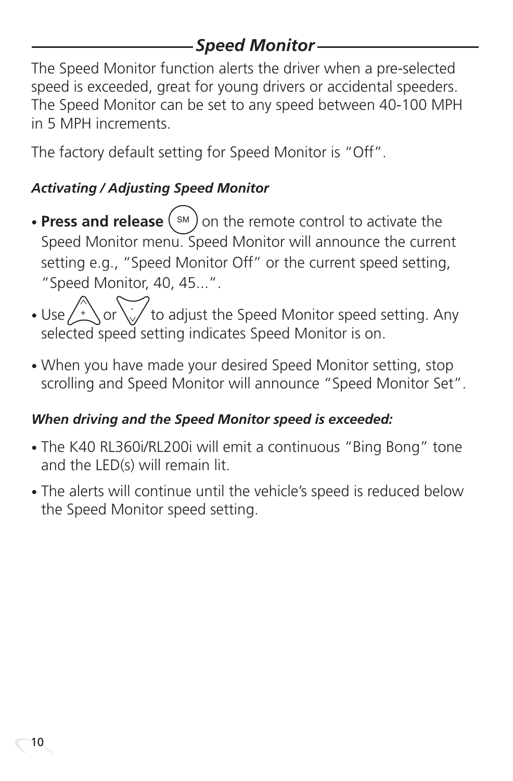## *Speed Monitor*

The Speed Monitor function alerts the driver when a pre-selected speed is exceeded, great for young drivers or accidental speeders. The Speed Monitor can be set to any speed between 40-100 MPH in 5 MPH increments.

The factory default setting for Speed Monitor is "Off".

#### *Activating / Adjusting Speed Monitor*

- Press and release (sM) on the remote control to activate the Speed Monitor menu. Speed Monitor will announce the current setting e.g., "Speed Monitor Off" or the current speed setting, "Speed Monitor, 40, 45...".
- Use  $\sqrt{\frac{1}{n}}\sqrt{1}$  to adjust the Speed Monitor speed setting. Any selected speed setting indicates Speed Monitor is on.  $\alpha$
- When you have made your desired Speed Monitor setting, stop scrolling and Speed Monitor will announce "Speed Monitor Set".

#### *When driving and the Speed Monitor speed is exceeded:*

- The K40 RL360i/RL200i will emit a continuous "Bing Bong" tone and the LED(s) will remain lit.
- The alerts will continue until the vehicle's speed is reduced below the Speed Monitor speed setting.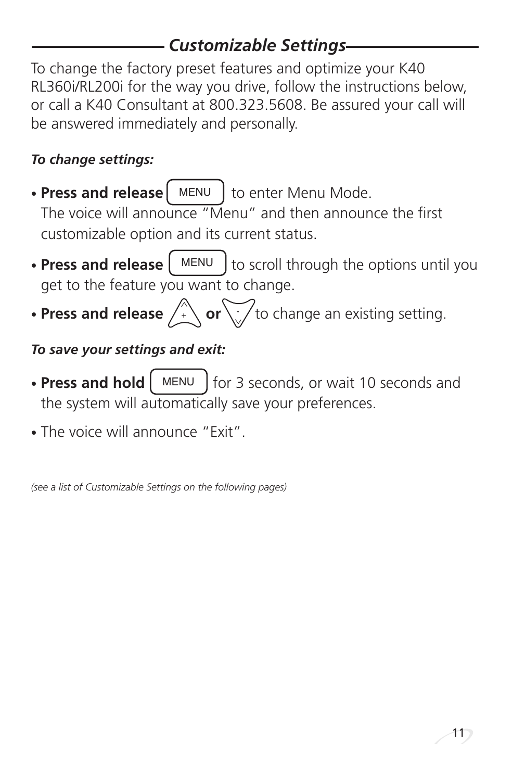## *Customizable Settings*

To change the factory preset features and optimize your K40 RL360i/RL200i for the way you drive, follow the instructions below, or call a K40 Consultant at 800.323.5608. Be assured your call will be answered immediately and personally.

#### *To change settings:*

- Press and release | MENU | to enter Menu Mode. The voice will announce "Menu" and then announce the first customizable option and its current status.
- **Press and release**  $\left[\begin{array}{c} \text{MEM} \\ \text{MeV} \end{array}\right]$  to scroll through the options until you get to the feature you want to change. MENU
- **Press and release**  $\overline{f}$  **or**  $\cdot$  to change an existing setting.

#### *To save your settings and exit:*

- Press and hold  $\left[\begin{array}{cc} \text{MEM} & \text{for 3 seconds, or wait 10 seconds and} \end{array}\right]$ the system will automatically save your preferences. MENU
- The voice will announce "Exit".

*(see a list of Customizable Settings on the following pages)*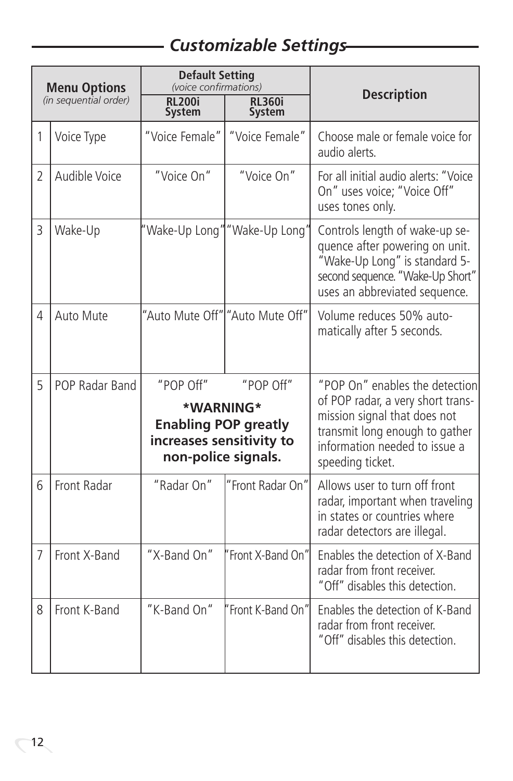## *Customizable Settings*

| <b>Menu Options</b><br>(in sequential order) |                | <b>Default Setting</b><br>(voice confirmations)                                                                       |                                 |                                                                                                                                                                                            |
|----------------------------------------------|----------------|-----------------------------------------------------------------------------------------------------------------------|---------------------------------|--------------------------------------------------------------------------------------------------------------------------------------------------------------------------------------------|
|                                              |                | <b>RL200i</b><br><b>System</b>                                                                                        | <b>RL360i</b><br><b>System</b>  | <b>Description</b>                                                                                                                                                                         |
| 1                                            | Voice Type     | "Voice Female"                                                                                                        | "Voice Female"                  | Choose male or female voice for<br>audio alerts.                                                                                                                                           |
| $\overline{2}$                               | Audible Voice  | "Voice On"                                                                                                            | "Voice On"                      | For all initial audio alerts: "Voice<br>On" uses voice; "Voice Off"<br>uses tones only.                                                                                                    |
| 3                                            | Wake-Up        |                                                                                                                       | "Wake-Up Long" "Wake-Up Long"   | Controls length of wake-up se-<br>quence after powering on unit.<br>"Wake-Up Long" is standard 5-<br>second sequence. "Wake-Up Short"<br>uses an abbreviated sequence.                     |
| 4                                            | Auto Mute      |                                                                                                                       | "Auto Mute Off" "Auto Mute Off" | Volume reduces 50% auto-<br>matically after 5 seconds.                                                                                                                                     |
| 5                                            | POP Radar Band | "POP Off"<br>"POP Off"<br>*WARNING*<br><b>Enabling POP greatly</b><br>increases sensitivity to<br>non-police signals. |                                 | "POP On" enables the detection<br>of POP radar, a very short trans-<br>mission signal that does not<br>transmit long enough to gather<br>information needed to issue a<br>speeding ticket. |
| 6                                            | Front Radar    | "Radar On"                                                                                                            | "Front Radar On"                | Allows user to turn off front<br>radar, important when traveling<br>in states or countries where<br>radar detectors are illegal.                                                           |
| 7                                            | Front X-Band   | "X-Band On"                                                                                                           | Front X-Band On"                | Enables the detection of X-Band<br>radar from front receiver.<br>"Off" disables this detection.                                                                                            |
| 8                                            | Front K-Band   | "K-Band On"                                                                                                           | Front K-Band On"                | Enables the detection of K-Band<br>radar from front receiver.<br>"Off" disables this detection.                                                                                            |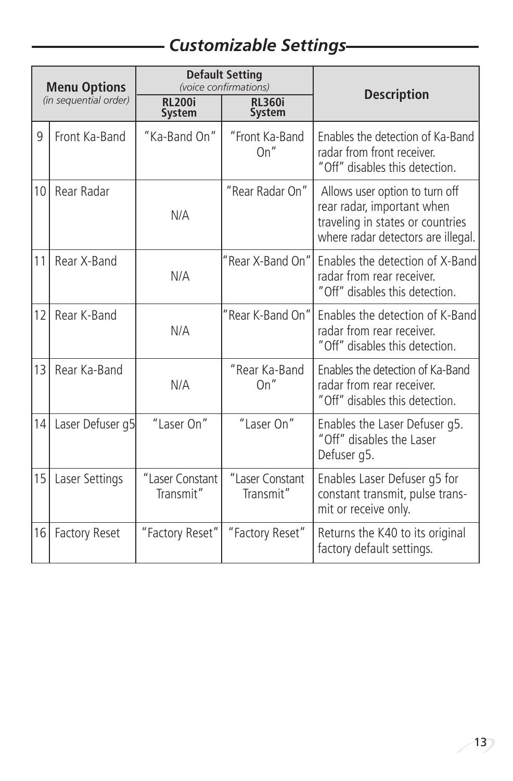## *Customizable Settings*

| <b>Menu Options</b><br>(in sequential order) |                      |                                | <b>Default Setting</b><br>(voice confirmations) |                                                                                                                                        |
|----------------------------------------------|----------------------|--------------------------------|-------------------------------------------------|----------------------------------------------------------------------------------------------------------------------------------------|
|                                              |                      | <b>RL200i</b><br><b>System</b> | <b>RI360i</b><br>System                         | <b>Description</b>                                                                                                                     |
| 9                                            | Front Ka-Band        | "Ka-Band On"                   | "Front Ka-Band<br>On''                          | Enables the detection of Ka-Band<br>radar from front receiver.<br>"Off" disables this detection.                                       |
| 10                                           | Rear Radar           | N/A                            | "Rear Radar On"                                 | Allows user option to turn off<br>rear radar, important when<br>traveling in states or countries<br>where radar detectors are illegal. |
| 11                                           | Rear X-Band          | N/A                            | "Rear X-Band On"                                | Enables the detection of X-Band<br>radar from rear receiver.<br>"Off" disables this detection.                                         |
| 12                                           | Rear K-Band          | N/A                            | "Rear K-Band On"                                | Enables the detection of K-Band<br>radar from rear receiver.<br>"Off" disables this detection.                                         |
| 13                                           | Rear Ka-Band         | N/A                            | "Rear Ka-Band<br>On''                           | Enables the detection of Ka-Band<br>radar from rear receiver.<br>"Off" disables this detection.                                        |
| 14                                           | Laser Defuser q5     | "Laser On"                     | "Laser On"                                      | Enables the Laser Defuser q5.<br>"Off" disables the Laser<br>Defuser q5.                                                               |
| 15                                           | Laser Settings       | "Laser Constant<br>Transmit"   | "Laser Constant<br>Transmit"                    | Enables Laser Defuser g5 for<br>constant transmit, pulse trans-<br>mit or receive only.                                                |
| 16                                           | <b>Factory Reset</b> | "Factory Reset"                | "Factory Reset"                                 | Returns the K40 to its original<br>factory default settings.                                                                           |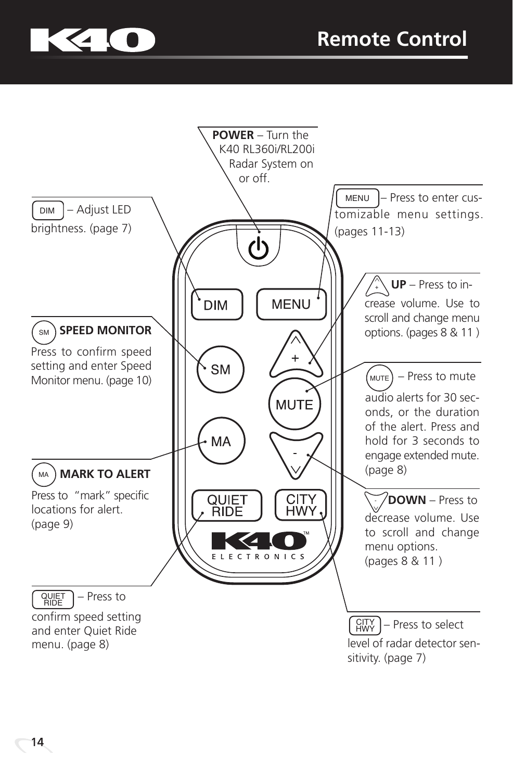

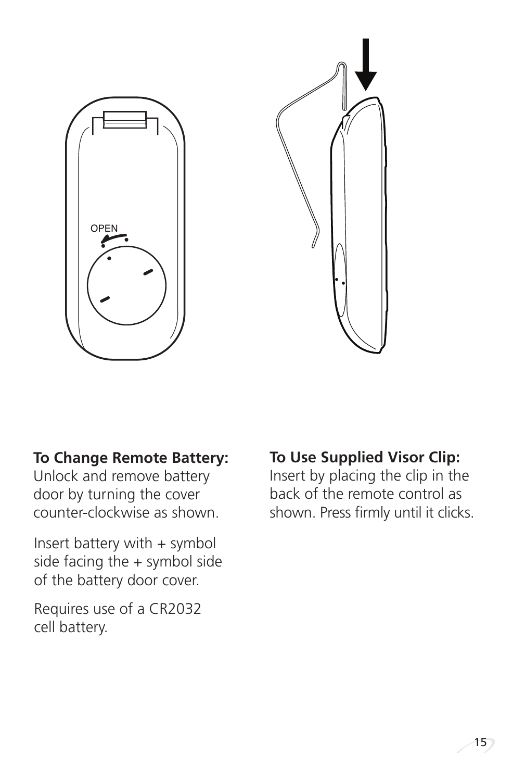



#### **To Change Remote Battery:**

Unlock and remove battery door by turning the cover counter-clockwise as shown.

Insert battery with + symbol side facing the + symbol side of the battery door cover.

Requires use of a CR2032 cell battery.

**To Use Supplied Visor Clip:**

Insert by placing the clip in the back of the remote control as shown. Press firmly until it clicks.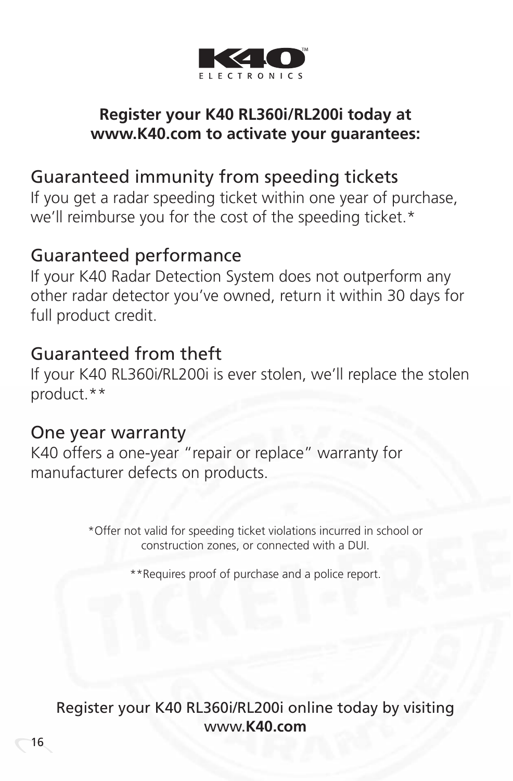

#### **Register your K40 RL360i/RL200i today at www.K40.com to activate your guarantees:**

#### Guaranteed immunity from speeding tickets

If you get a radar speeding ticket within one year of purchase, we'll reimburse you for the cost of the speeding ticket.\*

#### Guaranteed performance

If your K40 Radar Detection System does not outperform any other radar detector you've owned, return it within 30 days for full product credit.

## Guaranteed from theft

If your K40 RL360i/RL200i is ever stolen, we'll replace the stolen product.\*\*

#### One year warranty

K40 offers a one-year "repair or replace" warranty for manufacturer defects on products.

> \*Offer not valid for speeding ticket violations incurred in school or construction zones, or connected with a DUI.

> > \*\*Requires proof of purchase and a police report.

Register your K40 RL360i/RL200i online today by visiting www.**K40.com**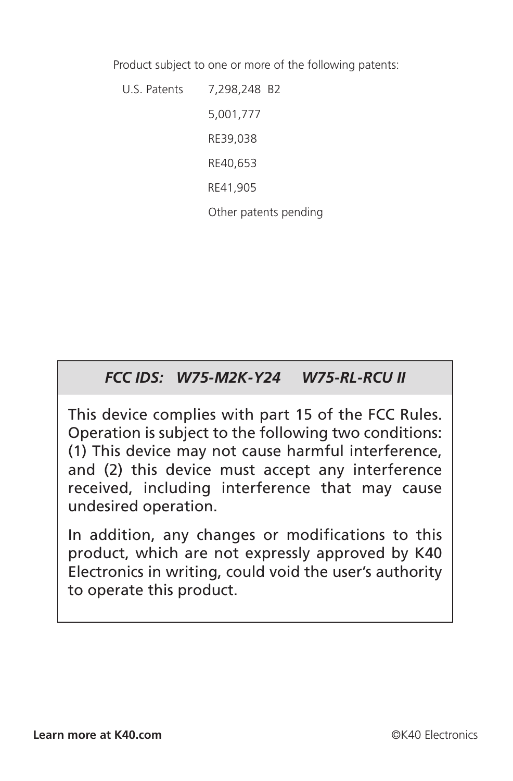Product subject to one or more of the following patents:

U.S. Patents 7,298,248 B2 5,001,777 RE39,038 RE40,653 RE41,905 Other patents pending

#### *FCC IDS: W75-M2K-Y24 W75-RL-RCU II*

This device complies with part 15 of the FCC Rules. Operation is subject to the following two conditions: (1) This device may not cause harmful interference, and (2) this device must accept any interference received, including interference that may cause undesired operation.

In addition, any changes or modifications to this product, which are not expressly approved by K40 Electronics in writing, could void the user's authority to operate this product.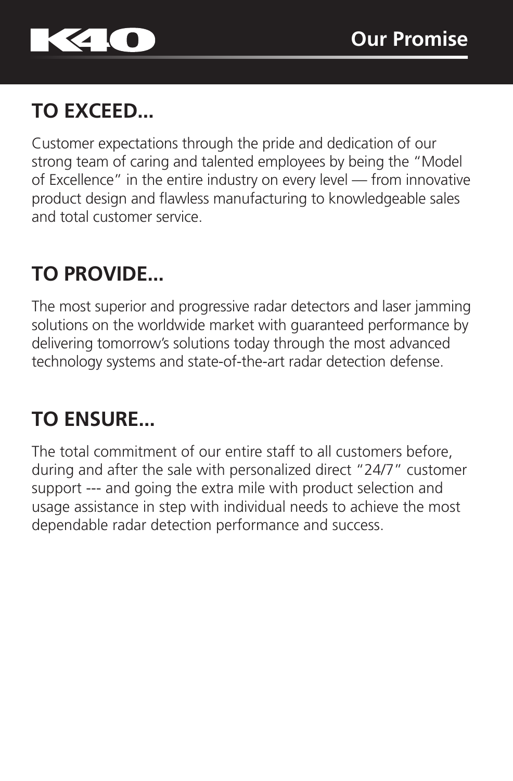

# **TO EXCEED...**

Customer expectations through the pride and dedication of our strong team of caring and talented employees by being the "Model of Excellence" in the entire industry on every level — from innovative product design and flawless manufacturing to knowledgeable sales and total customer service.

# **TO PROVIDE...**

The most superior and progressive radar detectors and laser jamming solutions on the worldwide market with guaranteed performance by delivering tomorrow's solutions today through the most advanced technology systems and state-of-the-art radar detection defense.

## **TO ENSURE...**

The total commitment of our entire staff to all customers before, during and after the sale with personalized direct "24/7" customer support --- and going the extra mile with product selection and usage assistance in step with individual needs to achieve the most dependable radar detection performance and success.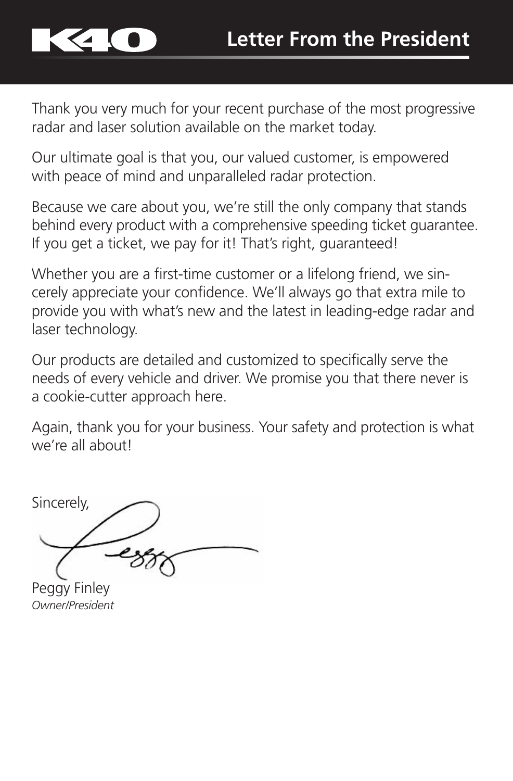

Thank you very much for your recent purchase of the most progressive radar and laser solution available on the market today.

Our ultimate goal is that you, our valued customer, is empowered with peace of mind and unparalleled radar protection.

Because we care about you, we're still the only company that stands behind every product with a comprehensive speeding ticket guarantee. If you get a ticket, we pay for it! That's right, guaranteed!

Whether you are a first-time customer or a lifelong friend, we sincerely appreciate your confidence. We'll always go that extra mile to provide you with what's new and the latest in leading-edge radar and laser technology.

Our products are detailed and customized to specifically serve the needs of every vehicle and driver. We promise you that there never is a cookie-cutter approach here.

Again, thank you for your business. Your safety and protection is what we're all about!

Sincerely,

Peggy Finley *Owner/President*